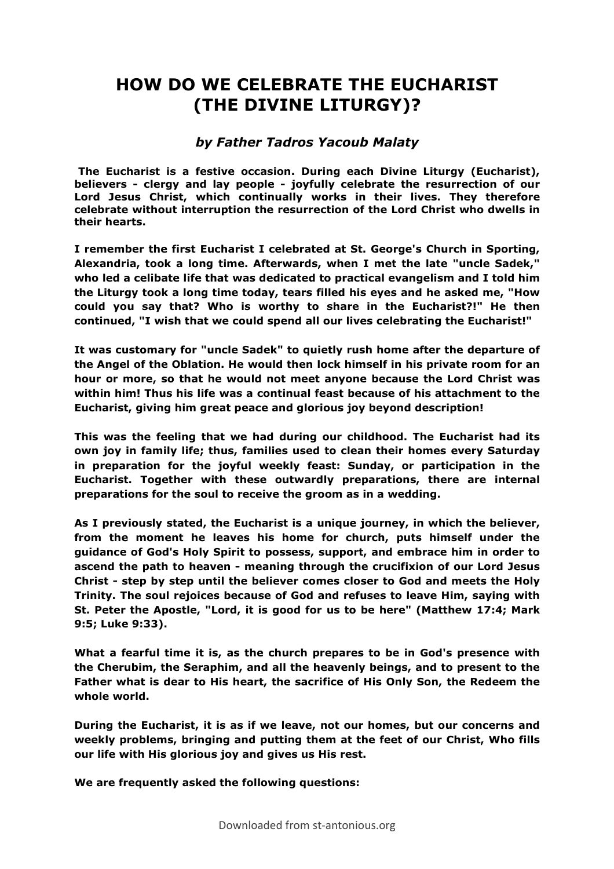## **HOW DO WE CELEBRATE THE EUCHARIST (THE DIVINE LITURGY)?**

## *by Father Tadros Yacoub Malaty*

**The Eucharist is a festive occasion. During each Divine Liturgy (Eucharist), believers - clergy and lay people - joyfully celebrate the resurrection of our Lord Jesus Christ, which continually works in their lives. They therefore celebrate without interruption the resurrection of the Lord Christ who dwells in their hearts.** 

**I remember the first Eucharist I celebrated at St. George's Church in Sporting, Alexandria, took a long time. Afterwards, when I met the late "uncle Sadek," who led a celibate life that was dedicated to practical evangelism and I told him the Liturgy took a long time today, tears filled his eyes and he asked me, "How could you say that? Who is worthy to share in the Eucharist?!" He then continued, "I wish that we could spend all our lives celebrating the Eucharist!"** 

**It was customary for "uncle Sadek" to quietly rush home after the departure of the Angel of the Oblation. He would then lock himself in his private room for an hour or more, so that he would not meet anyone because the Lord Christ was within him! Thus his life was a continual feast because of his attachment to the Eucharist, giving him great peace and glorious joy beyond description!** 

**This was the feeling that we had during our childhood. The Eucharist had its own joy in family life; thus, families used to clean their homes every Saturday in preparation for the joyful weekly feast: Sunday, or participation in the Eucharist. Together with these outwardly preparations, there are internal preparations for the soul to receive the groom as in a wedding.** 

**As I previously stated, the Eucharist is a unique journey, in which the believer, from the moment he leaves his home for church, puts himself under the guidance of God's Holy Spirit to possess, support, and embrace him in order to ascend the path to heaven - meaning through the crucifixion of our Lord Jesus Christ - step by step until the believer comes closer to God and meets the Holy Trinity. The soul rejoices because of God and refuses to leave Him, saying with St. Peter the Apostle, "Lord, it is good for us to be here" (Matthew 17:4; Mark 9:5; Luke 9:33).** 

**What a fearful time it is, as the church prepares to be in God's presence with the Cherubim, the Seraphim, and all the heavenly beings, and to present to the Father what is dear to His heart, the sacrifice of His Only Son, the Redeem the whole world.** 

**During the Eucharist, it is as if we leave, not our homes, but our concerns and weekly problems, bringing and putting them at the feet of our Christ, Who fills our life with His glorious joy and gives us His rest.**

**We are frequently asked the following questions:**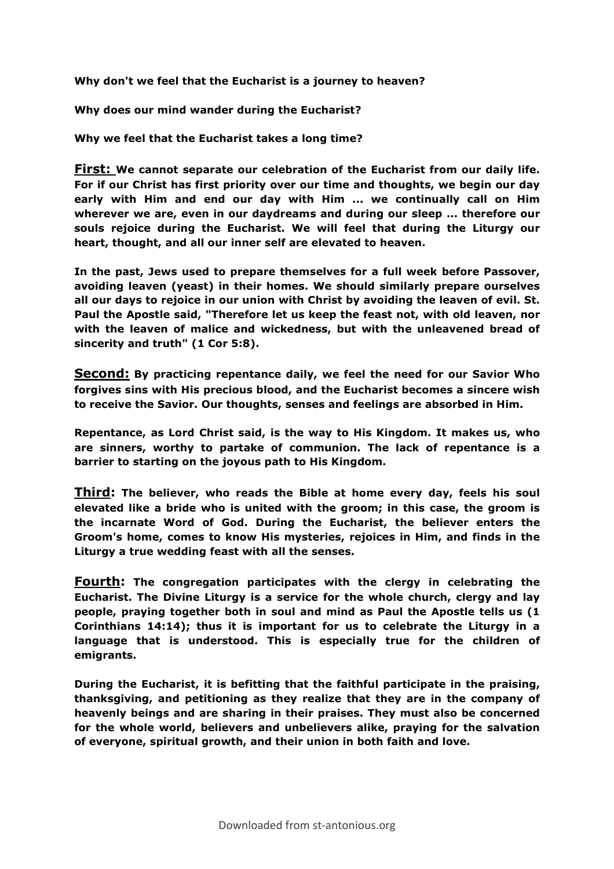**Why don't we feel that the Eucharist is a journey to heaven?** 

**Why does our mind wander during the Eucharist?** 

**Why we feel that the Eucharist takes a long time?**

**First: We cannot separate our celebration of the Eucharist from our daily life. For if our Christ has first priority over our time and thoughts, we begin our day early with Him and end our day with Him ... we continually call on Him wherever we are, even in our daydreams and during our sleep ... therefore our souls rejoice during the Eucharist. We will feel that during the Liturgy our heart, thought, and all our inner self are elevated to heaven.** 

**In the past, Jews used to prepare themselves for a full week before Passover, avoiding leaven (yeast) in their homes. We should similarly prepare ourselves all our days to rejoice in our union with Christ by avoiding the leaven of evil. St. Paul the Apostle said, "Therefore let us keep the feast not, with old leaven, nor with the leaven of malice and wickedness, but with the unleavened bread of sincerity and truth" (1 Cor 5:8).**

**Second: By practicing repentance daily, we feel the need for our Savior Who forgives sins with His precious blood, and the Eucharist becomes a sincere wish to receive the Savior. Our thoughts, senses and feelings are absorbed in Him.** 

**Repentance, as Lord Christ said, is the way to His Kingdom. It makes us, who are sinners, worthy to partake of communion. The lack of repentance is a barrier to starting on the joyous path to His Kingdom.**

**Third: The believer, who reads the Bible at home every day, feels his soul elevated like a bride who is united with the groom; in this case, the groom is the incarnate Word of God. During the Eucharist, the believer enters the Groom's home, comes to know His mysteries, rejoices in Him, and finds in the Liturgy a true wedding feast with all the senses.**

**Fourth: The congregation participates with the clergy in celebrating the Eucharist. The Divine Liturgy is a service for the whole church, clergy and lay people, praying together both in soul and mind as Paul the Apostle tells us (1 Corinthians 14:14); thus it is important for us to celebrate the Liturgy in a language that is understood. This is especially true for the children of emigrants.** 

**During the Eucharist, it is befitting that the faithful participate in the praising, thanksgiving, and petitioning as they realize that they are in the company of heavenly beings and are sharing in their praises. They must also be concerned for the whole world, believers and unbelievers alike, praying for the salvation of everyone, spiritual growth, and their union in both faith and love.**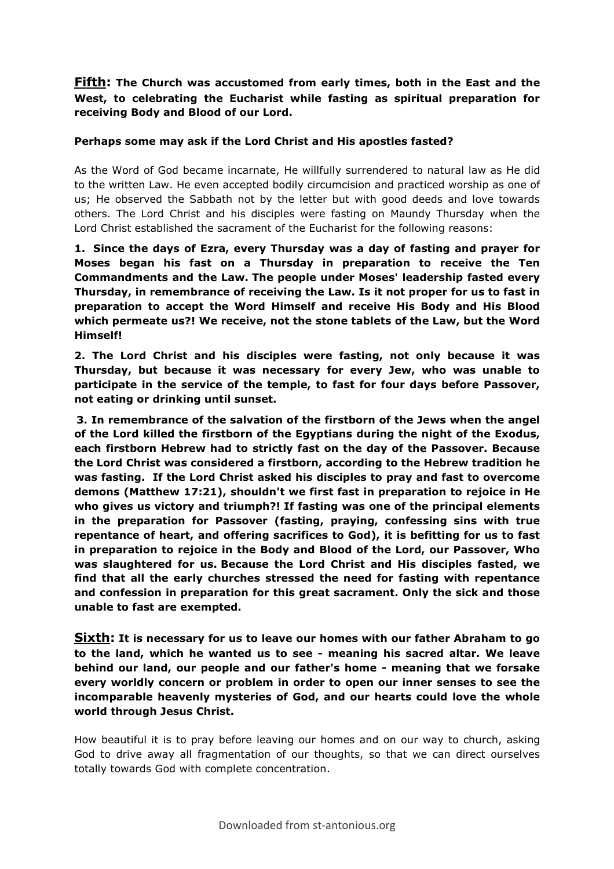**Fifth: The Church was accustomed from early times, both in the East and the West, to celebrating the Eucharist while fasting as spiritual preparation for receiving Body and Blood of our Lord.** 

## **Perhaps some may ask if the Lord Christ and His apostles fasted?**

As the Word of God became incarnate, He willfully surrendered to natural law as He did to the written Law. He even accepted bodily circumcision and practiced worship as one of us; He observed the Sabbath not by the letter but with good deeds and love towards others. The Lord Christ and his disciples were fasting on Maundy Thursday when the Lord Christ established the sacrament of the Eucharist for the following reasons:

**1. Since the days of Ezra, every Thursday was a day of fasting and prayer for Moses began his fast on a Thursday in preparation to receive the Ten Commandments and the Law. The people under Moses' leadership fasted every Thursday, in remembrance of receiving the Law. Is it not proper for us to fast in preparation to accept the Word Himself and receive His Body and His Blood which permeate us?! We receive, not the stone tablets of the Law, but the Word Himself!** 

**2. The Lord Christ and his disciples were fasting, not only because it was Thursday, but because it was necessary for every Jew, who was unable to participate in the service of the temple, to fast for four days before Passover, not eating or drinking until sunset.** 

**3. In remembrance of the salvation of the firstborn of the Jews when the angel of the Lord killed the firstborn of the Egyptians during the night of the Exodus, each firstborn Hebrew had to strictly fast on the day of the Passover. Because the Lord Christ was considered a firstborn, according to the Hebrew tradition he was fasting. If the Lord Christ asked his disciples to pray and fast to overcome demons (Matthew 17:21), shouldn't we first fast in preparation to rejoice in He who gives us victory and triumph?! If fasting was one of the principal elements in the preparation for Passover (fasting, praying, confessing sins with true repentance of heart, and offering sacrifices to God), it is befitting for us to fast in preparation to rejoice in the Body and Blood of the Lord, our Passover, Who was slaughtered for us. Because the Lord Christ and His disciples fasted, we find that all the early churches stressed the need for fasting with repentance and confession in preparation for this great sacrament. Only the sick and those unable to fast are exempted.**

**Sixth: It is necessary for us to leave our homes with our father Abraham to go to the land, which he wanted us to see - meaning his sacred altar. We leave behind our land, our people and our father's home - meaning that we forsake every worldly concern or problem in order to open our inner senses to see the incomparable heavenly mysteries of God, and our hearts could love the whole world through Jesus Christ.** 

How beautiful it is to pray before leaving our homes and on our way to church, asking God to drive away all fragmentation of our thoughts, so that we can direct ourselves totally towards God with complete concentration.